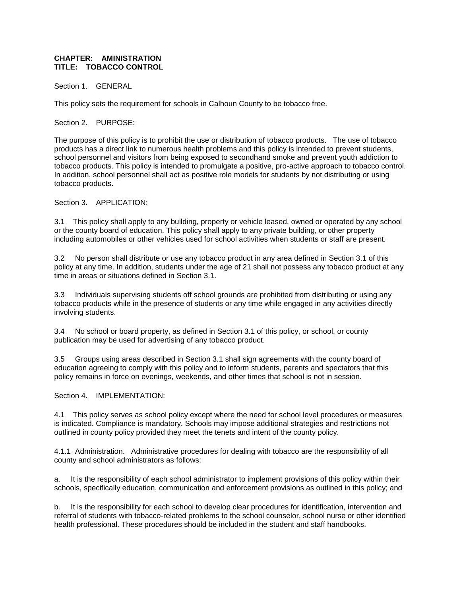## **CHAPTER: AMINISTRATION TITLE: TOBACCO CONTROL**

Section 1. GENERAL

This policy sets the requirement for schools in Calhoun County to be tobacco free.

Section 2. PURPOSE:

The purpose of this policy is to prohibit the use or distribution of tobacco products. The use of tobacco products has a direct link to numerous health problems and this policy is intended to prevent students, school personnel and visitors from being exposed to secondhand smoke and prevent youth addiction to tobacco products. This policy is intended to promulgate a positive, pro-active approach to tobacco control. In addition, school personnel shall act as positive role models for students by not distributing or using tobacco products.

Section 3. APPLICATION:

3.1 This policy shall apply to any building, property or vehicle leased, owned or operated by any school or the county board of education. This policy shall apply to any private building, or other property including automobiles or other vehicles used for school activities when students or staff are present.

3.2 No person shall distribute or use any tobacco product in any area defined in Section 3.1 of this policy at any time. In addition, students under the age of 21 shall not possess any tobacco product at any time in areas or situations defined in Section 3.1.

3.3 Individuals supervising students off school grounds are prohibited from distributing or using any tobacco products while in the presence of students or any time while engaged in any activities directly involving students.

3.4 No school or board property, as defined in Section 3.1 of this policy, or school, or county publication may be used for advertising of any tobacco product.

3.5 Groups using areas described in Section 3.1 shall sign agreements with the county board of education agreeing to comply with this policy and to inform students, parents and spectators that this policy remains in force on evenings, weekends, and other times that school is not in session.

Section 4. IMPLEMENTATION:

4.1 This policy serves as school policy except where the need for school level procedures or measures is indicated. Compliance is mandatory. Schools may impose additional strategies and restrictions not outlined in county policy provided they meet the tenets and intent of the county policy.

4.1.1 Administration. Administrative procedures for dealing with tobacco are the responsibility of all county and school administrators as follows:

a. It is the responsibility of each school administrator to implement provisions of this policy within their schools, specifically education, communication and enforcement provisions as outlined in this policy; and

b. It is the responsibility for each school to develop clear procedures for identification, intervention and referral of students with tobacco-related problems to the school counselor, school nurse or other identified health professional. These procedures should be included in the student and staff handbooks.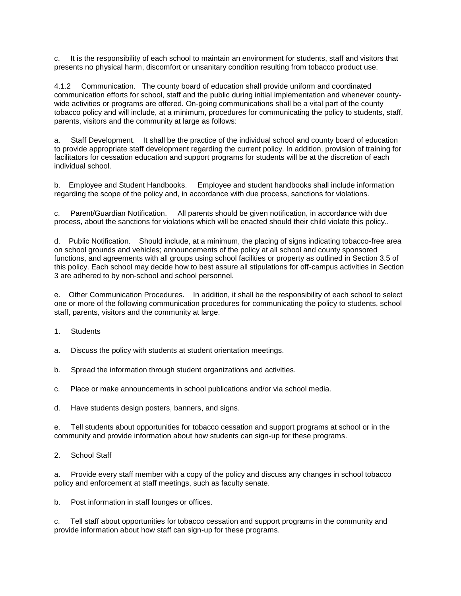c. It is the responsibility of each school to maintain an environment for students, staff and visitors that presents no physical harm, discomfort or unsanitary condition resulting from tobacco product use.

4.1.2 Communication. The county board of education shall provide uniform and coordinated communication efforts for school, staff and the public during initial implementation and whenever countywide activities or programs are offered. On-going communications shall be a vital part of the county tobacco policy and will include, at a minimum, procedures for communicating the policy to students, staff, parents, visitors and the community at large as follows:

a. Staff Development. It shall be the practice of the individual school and county board of education to provide appropriate staff development regarding the current policy. In addition, provision of training for facilitators for cessation education and support programs for students will be at the discretion of each individual school.

b. Employee and Student Handbooks. Employee and student handbooks shall include information regarding the scope of the policy and, in accordance with due process, sanctions for violations.

c. Parent/Guardian Notification. All parents should be given notification, in accordance with due process, about the sanctions for violations which will be enacted should their child violate this policy..

d. Public Notification. Should include, at a minimum, the placing of signs indicating tobacco-free area on school grounds and vehicles; announcements of the policy at all school and county sponsored functions, and agreements with all groups using school facilities or property as outlined in Section 3.5 of this policy. Each school may decide how to best assure all stipulations for off-campus activities in Section 3 are adhered to by non-school and school personnel.

e. Other Communication Procedures. In addition, it shall be the responsibility of each school to select one or more of the following communication procedures for communicating the policy to students, school staff, parents, visitors and the community at large.

- 1. Students
- a. Discuss the policy with students at student orientation meetings.
- b. Spread the information through student organizations and activities.
- c. Place or make announcements in school publications and/or via school media.
- d. Have students design posters, banners, and signs.

e. Tell students about opportunities for tobacco cessation and support programs at school or in the community and provide information about how students can sign-up for these programs.

2. School Staff

a. Provide every staff member with a copy of the policy and discuss any changes in school tobacco policy and enforcement at staff meetings, such as faculty senate.

b. Post information in staff lounges or offices.

c. Tell staff about opportunities for tobacco cessation and support programs in the community and provide information about how staff can sign-up for these programs.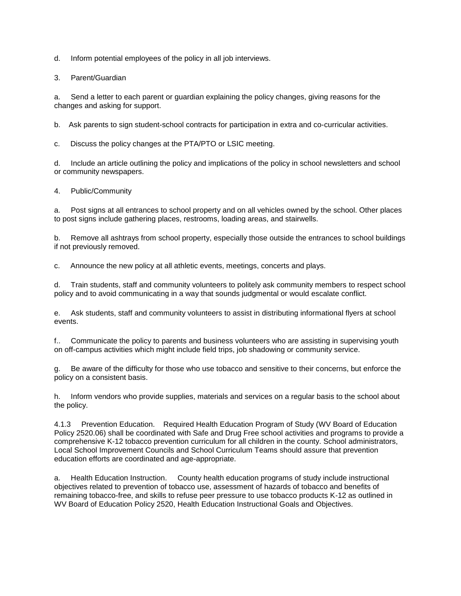d. Inform potential employees of the policy in all job interviews.

3. Parent/Guardian

a. Send a letter to each parent or guardian explaining the policy changes, giving reasons for the changes and asking for support.

b. Ask parents to sign student-school contracts for participation in extra and co-curricular activities.

c. Discuss the policy changes at the PTA/PTO or LSIC meeting.

d. Include an article outlining the policy and implications of the policy in school newsletters and school or community newspapers.

## 4. Public/Community

a. Post signs at all entrances to school property and on all vehicles owned by the school. Other places to post signs include gathering places, restrooms, loading areas, and stairwells.

b. Remove all ashtrays from school property, especially those outside the entrances to school buildings if not previously removed.

c. Announce the new policy at all athletic events, meetings, concerts and plays.

d. Train students, staff and community volunteers to politely ask community members to respect school policy and to avoid communicating in a way that sounds judgmental or would escalate conflict.

e. Ask students, staff and community volunteers to assist in distributing informational flyers at school events.

f.. Communicate the policy to parents and business volunteers who are assisting in supervising youth on off-campus activities which might include field trips, job shadowing or community service.

g. Be aware of the difficulty for those who use tobacco and sensitive to their concerns, but enforce the policy on a consistent basis.

h. Inform vendors who provide supplies, materials and services on a regular basis to the school about the policy.

4.1.3 Prevention Education. Required Health Education Program of Study (WV Board of Education Policy 2520.06) shall be coordinated with Safe and Drug Free school activities and programs to provide a comprehensive K-12 tobacco prevention curriculum for all children in the county. School administrators, Local School Improvement Councils and School Curriculum Teams should assure that prevention education efforts are coordinated and age-appropriate.

a. Health Education Instruction. County health education programs of study include instructional objectives related to prevention of tobacco use, assessment of hazards of tobacco and benefits of remaining tobacco-free, and skills to refuse peer pressure to use tobacco products K-12 as outlined in WV Board of Education Policy 2520, Health Education Instructional Goals and Objectives.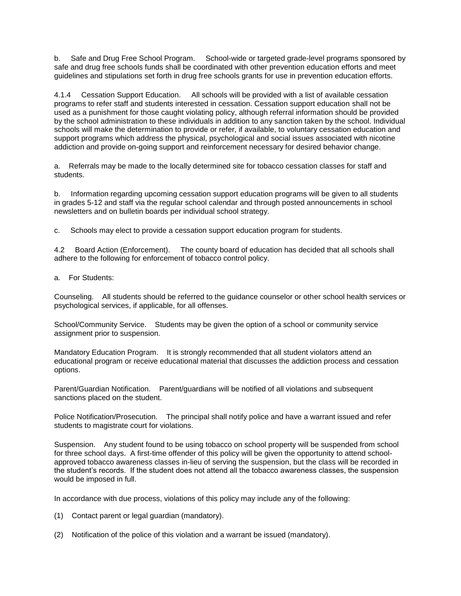b. Safe and Drug Free School Program. School-wide or targeted grade-level programs sponsored by safe and drug free schools funds shall be coordinated with other prevention education efforts and meet guidelines and stipulations set forth in drug free schools grants for use in prevention education efforts.

4.1.4 Cessation Support Education. All schools will be provided with a list of available cessation programs to refer staff and students interested in cessation. Cessation support education shall not be used as a punishment for those caught violating policy, although referral information should be provided by the school administration to these individuals in addition to any sanction taken by the school. Individual schools will make the determination to provide or refer, if available, to voluntary cessation education and support programs which address the physical, psychological and social issues associated with nicotine addiction and provide on-going support and reinforcement necessary for desired behavior change.

a. Referrals may be made to the locally determined site for tobacco cessation classes for staff and students.

b. Information regarding upcoming cessation support education programs will be given to all students in grades 5-12 and staff via the regular school calendar and through posted announcements in school newsletters and on bulletin boards per individual school strategy.

c. Schools may elect to provide a cessation support education program for students.

4.2 Board Action (Enforcement). The county board of education has decided that all schools shall adhere to the following for enforcement of tobacco control policy.

a. For Students:

Counseling. All students should be referred to the guidance counselor or other school health services or psychological services, if applicable, for all offenses.

School/Community Service. Students may be given the option of a school or community service assignment prior to suspension.

Mandatory Education Program. It is strongly recommended that all student violators attend an educational program or receive educational material that discusses the addiction process and cessation options.

Parent/Guardian Notification. Parent/guardians will be notified of all violations and subsequent sanctions placed on the student.

Police Notification/Prosecution. The principal shall notify police and have a warrant issued and refer students to magistrate court for violations.

Suspension. Any student found to be using tobacco on school property will be suspended from school for three school days. A first-time offender of this policy will be given the opportunity to attend schoolapproved tobacco awareness classes in-lieu of serving the suspension, but the class will be recorded in the student's records. If the student does not attend all the tobacco awareness classes, the suspension would be imposed in full.

In accordance with due process, violations of this policy may include any of the following:

(1) Contact parent or legal guardian (mandatory).

(2) Notification of the police of this violation and a warrant be issued (mandatory).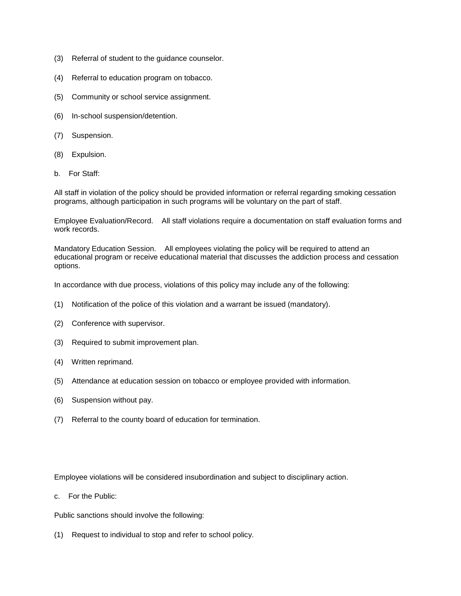- (3) Referral of student to the guidance counselor.
- (4) Referral to education program on tobacco.
- (5) Community or school service assignment.
- (6) In-school suspension/detention.
- (7) Suspension.
- (8) Expulsion.
- b. For Staff:

All staff in violation of the policy should be provided information or referral regarding smoking cessation programs, although participation in such programs will be voluntary on the part of staff.

Employee Evaluation/Record. All staff violations require a documentation on staff evaluation forms and work records.

Mandatory Education Session. All employees violating the policy will be required to attend an educational program or receive educational material that discusses the addiction process and cessation options.

In accordance with due process, violations of this policy may include any of the following:

- (1) Notification of the police of this violation and a warrant be issued (mandatory).
- (2) Conference with supervisor.
- (3) Required to submit improvement plan.
- (4) Written reprimand.
- (5) Attendance at education session on tobacco or employee provided with information.
- (6) Suspension without pay.
- (7) Referral to the county board of education for termination.

Employee violations will be considered insubordination and subject to disciplinary action.

c. For the Public:

Public sanctions should involve the following:

(1) Request to individual to stop and refer to school policy.